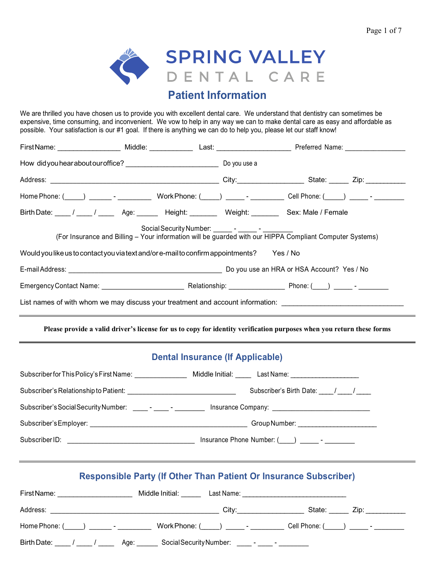٠



# **Patient Information**

We are thrilled you have chosen us to provide you with excellent dental care. We understand that dentistry can sometimes be expensive, time consuming, and inconvenient. We vow to help in any way we can to make dental care as easy and affordable as possible. Your satisfaction is our #1 goal. If there is anything we can do to help you, please let our staff know!

| Birth Date: ____ / ____ / _____ Age: ______ Height: _______ Weight: _______ Sex: Male / Female       |                                                                                  |  |                                                                                                                                                                                                                                                |  |  |
|------------------------------------------------------------------------------------------------------|----------------------------------------------------------------------------------|--|------------------------------------------------------------------------------------------------------------------------------------------------------------------------------------------------------------------------------------------------|--|--|
|                                                                                                      |                                                                                  |  | Social Security Number: _______ - ______ - _______ -<br>(For Insurance and Billing – Your information will be guarded with our HIPPA Compliant Computer Systems)                                                                               |  |  |
| Would you like us to contact you via text and/or e-mail to confirm appointments? Yes / No            |                                                                                  |  |                                                                                                                                                                                                                                                |  |  |
|                                                                                                      |                                                                                  |  |                                                                                                                                                                                                                                                |  |  |
|                                                                                                      |                                                                                  |  |                                                                                                                                                                                                                                                |  |  |
|                                                                                                      | ,我们也不会有什么。""我们的人,我们也不会有什么?""我们的人,我们也不会有什么?""我们的人,我们也不会有什么?""我们的人,我们也不会有什么?""我们的人 |  | List names of with whom we may discuss your treatment and account information: _______________________________                                                                                                                                 |  |  |
|                                                                                                      |                                                                                  |  | Please provide a valid driver's license for us to copy for identity verification purposes when you return these forms<br><u> 1989 - Andrea Santana, amerikana amerikana amerikana amerikana amerikana amerikana amerikana amerikana amerik</u> |  |  |
|                                                                                                      | <b>Dental Insurance (If Applicable)</b>                                          |  |                                                                                                                                                                                                                                                |  |  |
| Subscriber for This Policy's First Name: Middle Initial: Last Name: Last Name:                       |                                                                                  |  |                                                                                                                                                                                                                                                |  |  |
|                                                                                                      |                                                                                  |  |                                                                                                                                                                                                                                                |  |  |
| Subscriber's Social Security Number: _____- _____- ________ Insurance Company: _____________________ |                                                                                  |  |                                                                                                                                                                                                                                                |  |  |
|                                                                                                      |                                                                                  |  |                                                                                                                                                                                                                                                |  |  |
|                                                                                                      |                                                                                  |  |                                                                                                                                                                                                                                                |  |  |
|                                                                                                      |                                                                                  |  |                                                                                                                                                                                                                                                |  |  |

|  |  |  |  | <b>Responsible Party (If Other Than Patient Or Insurance Subscriber)</b> |  |
|--|--|--|--|--------------------------------------------------------------------------|--|
|  |  |  |  |                                                                          |  |

| FirstName:                                             | Middle Initial:<br>Last Name:                |                |
|--------------------------------------------------------|----------------------------------------------|----------------|
| Address:                                               | City:                                        | State:<br>Zip: |
| Home Phone: (<br>$\overline{a}$ ) and $\overline{a}$ - | Work Phone: (_____) ______- - ________       |                |
| Birth Date:<br>Age: _                                  | SocialSecurityNumber: _____- _____- ________ |                |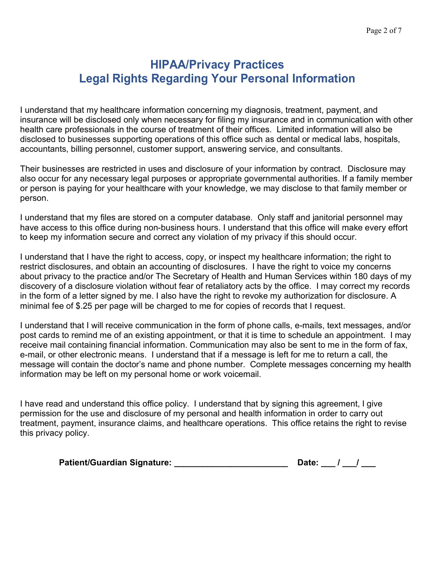# **HIPAA/Privacy Practices Legal Rights Regarding Your Personal Information**

I understand that my healthcare information concerning my diagnosis, treatment, payment, and insurance will be disclosed only when necessary for filing my insurance and in communication with other health care professionals in the course of treatment of their offices. Limited information will also be disclosed to businesses supporting operations of this office such as dental or medical labs, hospitals, accountants, billing personnel, customer support, answering service, and consultants.

Their businesses are restricted in uses and disclosure of your information by contract. Disclosure may also occur for any necessary legal purposes or appropriate governmental authorities. If a family member or person is paying for your healthcare with your knowledge, we may disclose to that family member or person.

I understand that my files are stored on a computer database. Only staff and janitorial personnel may have access to this office during non-business hours. I understand that this office will make every effort to keep my information secure and correct any violation of my privacy if this should occur.

I understand that I have the right to access, copy, or inspect my healthcare information; the right to restrict disclosures, and obtain an accounting of disclosures. I have the right to voice my concerns about privacy to the practice and/or The Secretary of Health and Human Services within 180 days of my discovery of a disclosure violation without fear of retaliatory acts by the office. I may correct my records in the form of a letter signed by me. I also have the right to revoke my authorization for disclosure. A minimal fee of \$.25 per page will be charged to me for copies of records that I request.

I understand that I will receive communication in the form of phone calls, e-mails, text messages, and/or post cards to remind me of an existing appointment, or that it is time to schedule an appointment. I may receive mail containing financial information. Communication may also be sent to me in the form of fax, e-mail, or other electronic means. I understand that if a message is left for me to return a call, the message will contain the doctor's name and phone number. Complete messages concerning my health information may be left on my personal home or work voicemail.

I have read and understand this office policy. I understand that by signing this agreement, I give permission for the use and disclosure of my personal and health information in order to carry out treatment, payment, insurance claims, and healthcare operations. This office retains the right to revise this privacy policy.

| <b>Patient/Guardian Signature:</b> | Date: |  |
|------------------------------------|-------|--|
|                                    |       |  |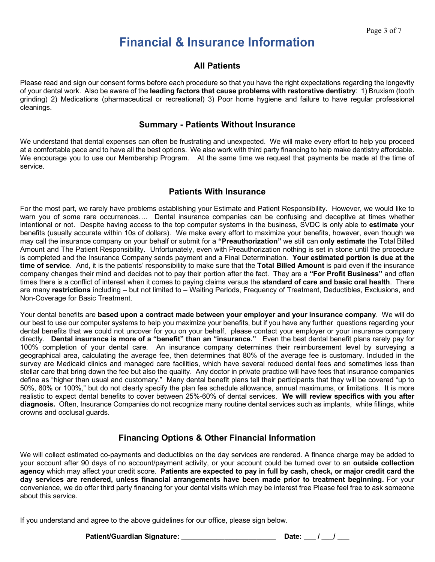# **Financial & Insurance Information**

## **All Patients**

Please read and sign our consent forms before each procedure so that you have the right expectations regarding the longevity of your dental work. Also be aware of the **leading factors that cause problems with restorative dentistry**: 1) Bruxism (tooth grinding) 2) Medications (pharmaceutical or recreational) 3) Poor home hygiene and failure to have regular professional cleanings.

#### **Summary - Patients Without Insurance**

We understand that dental expenses can often be frustrating and unexpected. We will make every effort to help you proceed at a comfortable pace and to have all the best options. We also work with third party financing to help make dentistry affordable. We encourage you to use our Membership Program. At the same time we request that payments be made at the time of service.

### **Patients With Insurance**

For the most part, we rarely have problems establishing your Estimate and Patient Responsibility. However, we would like to warn you of some rare occurrences…. Dental insurance companies can be confusing and deceptive at times whether intentional or not. Despite having access to the top computer systems in the business, SVDC is only able to **estimate** your benefits (usually accurate within 10s of dollars). We make every effort to maximize your benefits, however, even though we may call the insurance company on your behalf or submit for a **"Preauthorization"** we still can **only estimate** the Total Billed Amount and The Patient Responsibility. Unfortunately, even with Preauthorization nothing is set in stone until the procedure is completed and the Insurance Company sends payment and a Final Determination. **Your estimated portion is due at the time of service**. And, it is the patients' responsibility to make sure that the **Total Billed Amount** is paid even if the insurance company changes their mind and decides not to pay their portion after the fact. They are a **"For Profit Business"** and often times there is a conflict of interest when it comes to paying claims versus the **standard of care and basic oral health**. There are many **restrictions** including – but not limited to – Waiting Periods, Frequency of Treatment, Deductibles, Exclusions, and Non-Coverage for Basic Treatment.

Your dental benefits are **based upon a contract made between your employer and your insurance company**. We will do our best to use our computer systems to help you maximize your benefits, but if you have any further questions regarding your dental benefits that we could not uncover for you on your behalf, please contact your employer or your insurance company directly. **Dental insurance is more of a "benefit" than an "insurance."** Even the best dental benefit plans rarely pay for 100% completion of your dental care. An insurance company determines their reimbursement level by surveying a geographical area, calculating the average fee, then determines that 80% of the average fee is customary. Included in the survey are Medicaid clinics and managed care facilities, which have several reduced dental fees and sometimes less than stellar care that bring down the fee but also the quality. Any doctor in private practice will have fees that insurance companies define as "higher than usual and customary." Many dental benefit plans tell their participants that they will be covered "up to 50%, 80% or 100%," but do not clearly specify the plan fee schedule allowance, annual maximums, or limitations. It is more realistic to expect dental benefits to cover between 25%-60% of dental services. **We will review specifics with you after diagnosis.** Often, Insurance Companies do not recognize many routine dental services such as implants, white fillings, white crowns and occlusal guards.

## **Financing Options & Other Financial Information**

We will collect estimated co-payments and deductibles on the day services are rendered. A finance charge may be added to your account after 90 days of no account/payment activity, or your account could be turned over to an **outside collection agency** which may affect your credit score. **Patients are expected to pay in full by cash, check, or major credit card the day services are rendered, unless financial arrangements have been made prior to treatment beginning.** For your convenience, we do offer third party financing for your dental visits which may be interest free Please feel free to ask someone about this service.

If you understand and agree to the above guidelines for our office, please sign below.

**Patient/Guardian Signature: \_\_\_\_\_\_\_\_\_\_\_\_\_\_\_\_\_\_\_\_\_\_\_\_ Date: \_\_\_ / \_\_\_/ \_\_\_**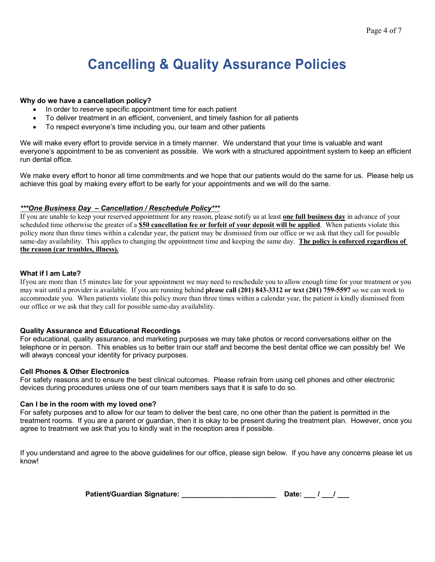# **Cancelling & Quality Assurance Policies**

#### **Why do we have a cancellation policy?**

- In order to reserve specific appointment time for each patient
- To deliver treatment in an efficient, convenient, and timely fashion for all patients
- To respect everyone's time including you, our team and other patients

We will make every effort to provide service in a timely manner. We understand that your time is valuable and want everyone's appointment to be as convenient as possible. We work with a structured appointment system to keep an efficient run dental office.

We make every effort to honor all time commitments and we hope that our patients would do the same for us. Please help us achieve this goal by making every effort to be early for your appointments and we will do the same.

#### *\*\*\*One Business Day – Cancellation / Reschedule Policy\*\*\**

If you are unable to keep your reserved appointment for any reason, please notify us at least **one full business day** in advance of your scheduled time otherwise the greater of a **\$50 cancellation fee or forfeit of your deposit will be applied**. When patients violate this policy more than three times within a calendar year, the patient may be dismissed from our office or we ask that they call for possible same-day availability. This applies to changing the appointment time and keeping the same day. **The policy is enforced regardless of the reason (car troubles, illness).** 

#### **What if I am Late?**

Ifyou are more than 15 minutes late for your appointment we may need to reschedule you to allow enough time for your treatment or you may wait until a provider is available. If you are running behind **please call (201) 843-3312 or text (201) 759-5597** so we can work to accommodate you. When patients violate this policy more than three times within a calendar year, the patient is kindly dismissed from our office or we ask that they call for possible same-day availability.

#### **Quality Assurance and Educational Recordings**

For educational, quality assurance, and marketing purposes we may take photos or record conversations either on the telephone or in person. This enables us to better train our staff and become the best dental office we can possibly be! We will always conceal your identity for privacy purposes.

#### **Cell Phones & Other Electronics**

For safety reasons and to ensure the best clinical outcomes. Please refrain from using cell phones and other electronic devices during procedures unless one of our team members says that it is safe to do so.

#### **Can I be in the room with my loved one?**

For safety purposes and to allow for our team to deliver the best care, no one other than the patient is permitted in the treatment rooms. If you are a parent or guardian, then it is okay to be present during the treatment plan. However, once you agree to treatment we ask that you to kindly wait in the reception area if possible.

If you understand and agree to the above guidelines for our office, please sign below. If you have any concerns please let us know!

| Patient/Guardian Signature: |  | Date: |  |
|-----------------------------|--|-------|--|
|-----------------------------|--|-------|--|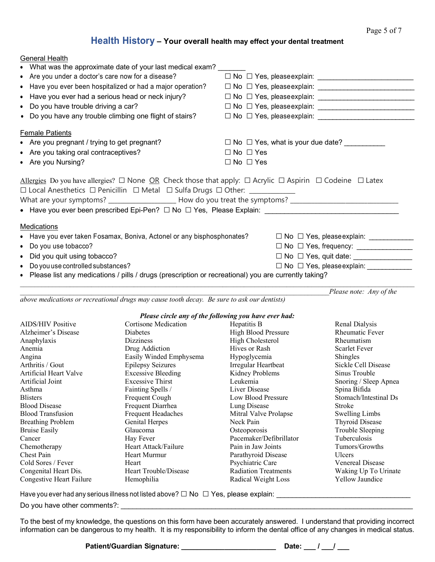# **Health History – Your overall health may effect your dental treatment**

| • What was the approximate date of your last medical exam?                                                                        |                                          |
|-----------------------------------------------------------------------------------------------------------------------------------|------------------------------------------|
| • Are you under a doctor's care now for a disease?                                                                                |                                          |
| • Have you ever been hospitalized or had a major operation?                                                                       |                                          |
| • Have you ever had a serious head or neck injury?                                                                                |                                          |
| • Do you have trouble driving a car?                                                                                              |                                          |
| • Do you have any trouble climbing one flight of stairs?                                                                          |                                          |
| <b>Female Patients</b>                                                                                                            |                                          |
| • Are you pregnant / trying to get pregnant?                                                                                      |                                          |
| • Are you taking oral contraceptives?                                                                                             | $\Box$ No $\Box$ Yes                     |
| • Are you Nursing?                                                                                                                | $\Box$ No $\Box$ Yes                     |
| Allergies Do you have allergies? $\Box$ None OR Check those that apply: $\Box$ Acrylic $\Box$ Aspirin $\Box$ Codeine $\Box$ Latex |                                          |
|                                                                                                                                   |                                          |
|                                                                                                                                   |                                          |
|                                                                                                                                   |                                          |
| Medications                                                                                                                       |                                          |
| • Have you ever taken Fosamax, Boniva, Actonel or any bisphosphonates?                                                            |                                          |
| • Do you use tobacco?                                                                                                             |                                          |
| • Did you quit using tobacco?                                                                                                     |                                          |
| • Do you use controlled substances?                                                                                               | □ No □ Yes, please explain: ____________ |
| • Please list any medications / pills / drugs (prescription or recreational) you are currently taking?                            |                                          |
|                                                                                                                                   | Please note: Any of the                  |

*above medications or recreational drugs may cause tooth decay. Be sure to ask our dentists)*

#### *Please circle any of the following you have ever had:*

| <b>AIDS/HIV Positive</b><br>Cortisone Medication<br>Renal Dialysis<br>Hepatitis B<br><b>Rheumatic Fever</b><br>Alzheimer's Disease<br><b>High Blood Pressure</b><br><b>Diabetes</b><br>High Cholesterol<br><b>Dizziness</b><br>Rheumatism<br>Anaphylaxis<br>Hives or Rash<br><b>Scarlet Fever</b><br>Drug Addiction<br>Anemia<br>Shingles<br>Easily Winded Emphysema<br>Hypoglycemia<br>Angina<br>Arthritis / Gout<br>Irregular Heartbeat<br>Sickle Cell Disease<br><b>Epilepsy Seizures</b><br>Artificial Heart Valve<br><b>Excessive Bleeding</b><br>Kidney Problems<br>Sinus Trouble<br>Artificial Joint<br><b>Excessive Thirst</b><br>Leukemia<br>Snoring / Sleep Apnea<br>Liver Disease<br>Fainting Spells /<br>Spina Bifida<br>Asthma<br>Frequent Cough<br>Stomach/Intestinal Ds<br><b>Blisters</b><br>Low Blood Pressure<br><b>Blood Disease</b><br>Frequent Diarrhea<br>Lung Disease<br>Stroke<br><b>Blood Transfusion</b><br><b>Frequent Headaches</b><br>Mitral Valve Prolapse<br>Swelling Limbs<br>Neck Pain<br><b>Thyroid Disease</b><br><b>Breathing Problem</b><br>Genital Herpes<br>Trouble Sleeping<br><b>Bruise Easily</b><br>Glaucoma<br>Osteoporosis<br><b>Tuberculosis</b><br>Pacemaker/Defibrillator<br>Hay Fever<br>Cancer<br>Heart Attack/Failure<br>Pain in Jaw Joints<br>Tumors/Growths<br>Chemotherapy<br>Chest Pain<br>Heart Murmur<br>Parathyroid Disease<br>Ulcers<br><b>Venereal Disease</b><br>Cold Sores / Fever<br>Psychiatric Care<br>Heart<br>Congenital Heart Dis.<br>Heart Trouble/Disease<br><b>Radiation Treatments</b><br>Waking Up To Urinate<br>Yellow Jaundice<br>Congestive Heart Failure<br>Hemophilia<br>Radical Weight Loss |  | I icase circle any of the following you have ever had. |  |
|----------------------------------------------------------------------------------------------------------------------------------------------------------------------------------------------------------------------------------------------------------------------------------------------------------------------------------------------------------------------------------------------------------------------------------------------------------------------------------------------------------------------------------------------------------------------------------------------------------------------------------------------------------------------------------------------------------------------------------------------------------------------------------------------------------------------------------------------------------------------------------------------------------------------------------------------------------------------------------------------------------------------------------------------------------------------------------------------------------------------------------------------------------------------------------------------------------------------------------------------------------------------------------------------------------------------------------------------------------------------------------------------------------------------------------------------------------------------------------------------------------------------------------------------------------------------------------------------------------------------------------------------------------------------------|--|--------------------------------------------------------|--|
|                                                                                                                                                                                                                                                                                                                                                                                                                                                                                                                                                                                                                                                                                                                                                                                                                                                                                                                                                                                                                                                                                                                                                                                                                                                                                                                                                                                                                                                                                                                                                                                                                                                                            |  |                                                        |  |
|                                                                                                                                                                                                                                                                                                                                                                                                                                                                                                                                                                                                                                                                                                                                                                                                                                                                                                                                                                                                                                                                                                                                                                                                                                                                                                                                                                                                                                                                                                                                                                                                                                                                            |  |                                                        |  |
|                                                                                                                                                                                                                                                                                                                                                                                                                                                                                                                                                                                                                                                                                                                                                                                                                                                                                                                                                                                                                                                                                                                                                                                                                                                                                                                                                                                                                                                                                                                                                                                                                                                                            |  |                                                        |  |
|                                                                                                                                                                                                                                                                                                                                                                                                                                                                                                                                                                                                                                                                                                                                                                                                                                                                                                                                                                                                                                                                                                                                                                                                                                                                                                                                                                                                                                                                                                                                                                                                                                                                            |  |                                                        |  |
|                                                                                                                                                                                                                                                                                                                                                                                                                                                                                                                                                                                                                                                                                                                                                                                                                                                                                                                                                                                                                                                                                                                                                                                                                                                                                                                                                                                                                                                                                                                                                                                                                                                                            |  |                                                        |  |
|                                                                                                                                                                                                                                                                                                                                                                                                                                                                                                                                                                                                                                                                                                                                                                                                                                                                                                                                                                                                                                                                                                                                                                                                                                                                                                                                                                                                                                                                                                                                                                                                                                                                            |  |                                                        |  |
|                                                                                                                                                                                                                                                                                                                                                                                                                                                                                                                                                                                                                                                                                                                                                                                                                                                                                                                                                                                                                                                                                                                                                                                                                                                                                                                                                                                                                                                                                                                                                                                                                                                                            |  |                                                        |  |
|                                                                                                                                                                                                                                                                                                                                                                                                                                                                                                                                                                                                                                                                                                                                                                                                                                                                                                                                                                                                                                                                                                                                                                                                                                                                                                                                                                                                                                                                                                                                                                                                                                                                            |  |                                                        |  |
|                                                                                                                                                                                                                                                                                                                                                                                                                                                                                                                                                                                                                                                                                                                                                                                                                                                                                                                                                                                                                                                                                                                                                                                                                                                                                                                                                                                                                                                                                                                                                                                                                                                                            |  |                                                        |  |
|                                                                                                                                                                                                                                                                                                                                                                                                                                                                                                                                                                                                                                                                                                                                                                                                                                                                                                                                                                                                                                                                                                                                                                                                                                                                                                                                                                                                                                                                                                                                                                                                                                                                            |  |                                                        |  |
|                                                                                                                                                                                                                                                                                                                                                                                                                                                                                                                                                                                                                                                                                                                                                                                                                                                                                                                                                                                                                                                                                                                                                                                                                                                                                                                                                                                                                                                                                                                                                                                                                                                                            |  |                                                        |  |
|                                                                                                                                                                                                                                                                                                                                                                                                                                                                                                                                                                                                                                                                                                                                                                                                                                                                                                                                                                                                                                                                                                                                                                                                                                                                                                                                                                                                                                                                                                                                                                                                                                                                            |  |                                                        |  |
|                                                                                                                                                                                                                                                                                                                                                                                                                                                                                                                                                                                                                                                                                                                                                                                                                                                                                                                                                                                                                                                                                                                                                                                                                                                                                                                                                                                                                                                                                                                                                                                                                                                                            |  |                                                        |  |
|                                                                                                                                                                                                                                                                                                                                                                                                                                                                                                                                                                                                                                                                                                                                                                                                                                                                                                                                                                                                                                                                                                                                                                                                                                                                                                                                                                                                                                                                                                                                                                                                                                                                            |  |                                                        |  |
|                                                                                                                                                                                                                                                                                                                                                                                                                                                                                                                                                                                                                                                                                                                                                                                                                                                                                                                                                                                                                                                                                                                                                                                                                                                                                                                                                                                                                                                                                                                                                                                                                                                                            |  |                                                        |  |
|                                                                                                                                                                                                                                                                                                                                                                                                                                                                                                                                                                                                                                                                                                                                                                                                                                                                                                                                                                                                                                                                                                                                                                                                                                                                                                                                                                                                                                                                                                                                                                                                                                                                            |  |                                                        |  |
|                                                                                                                                                                                                                                                                                                                                                                                                                                                                                                                                                                                                                                                                                                                                                                                                                                                                                                                                                                                                                                                                                                                                                                                                                                                                                                                                                                                                                                                                                                                                                                                                                                                                            |  |                                                        |  |
|                                                                                                                                                                                                                                                                                                                                                                                                                                                                                                                                                                                                                                                                                                                                                                                                                                                                                                                                                                                                                                                                                                                                                                                                                                                                                                                                                                                                                                                                                                                                                                                                                                                                            |  |                                                        |  |
|                                                                                                                                                                                                                                                                                                                                                                                                                                                                                                                                                                                                                                                                                                                                                                                                                                                                                                                                                                                                                                                                                                                                                                                                                                                                                                                                                                                                                                                                                                                                                                                                                                                                            |  |                                                        |  |
|                                                                                                                                                                                                                                                                                                                                                                                                                                                                                                                                                                                                                                                                                                                                                                                                                                                                                                                                                                                                                                                                                                                                                                                                                                                                                                                                                                                                                                                                                                                                                                                                                                                                            |  |                                                        |  |

Have you ever had any serious illness not listed above? ☐ No ☐ Yes, please explain: \_\_\_\_\_\_\_\_\_\_\_\_\_\_\_\_\_\_\_\_\_\_\_\_\_\_\_\_\_\_\_\_\_\_

Do you have other comments?: \_\_\_\_\_\_\_\_\_\_\_\_\_\_\_\_\_\_\_\_\_\_\_\_\_\_\_\_\_\_\_\_\_\_\_\_\_\_\_\_\_\_\_\_\_\_\_\_\_\_\_\_\_\_\_\_\_\_\_\_\_\_\_\_\_\_\_\_\_\_\_\_\_\_

General Health

To the best of my knowledge, the questions on this form have been accurately answered. I understand that providing incorrect information can be dangerous to my health. It is my responsibility to inform the dental office of any changes in medical status.

**Patient/Guardian Signature: \_\_\_\_\_\_\_\_\_\_\_\_\_\_\_\_\_\_\_\_\_\_\_\_ Date: \_\_\_ / \_\_\_/ \_\_\_**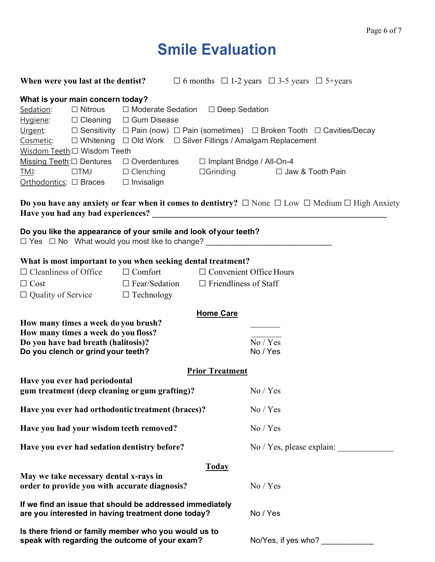# **Smile Evaluation**

|                                                                                                                                                                                                     |                                                                 |                                                                                                                                                                                                                   |                           |                             |          | <b>When were you last at the dentist?</b> $\Box$ 6 months $\Box$ 1-2 years $\Box$ 3-5 years $\Box$ 5+years                  |
|-----------------------------------------------------------------------------------------------------------------------------------------------------------------------------------------------------|-----------------------------------------------------------------|-------------------------------------------------------------------------------------------------------------------------------------------------------------------------------------------------------------------|---------------------------|-----------------------------|----------|-----------------------------------------------------------------------------------------------------------------------------|
|                                                                                                                                                                                                     | What is your main concern today?<br>Wisdom Teeth:□ Wisdom Teeth | Sedation: □ Nitrous □ Moderate Sedation □ Deep Sedation<br>$Hyqiene: \Box$ Cleaning $\Box$ Gum Disease<br>Cosmetic: □ Whitening □ Old Work □ Silver Fillings / Amalgam Replacement                                |                           |                             |          | <u>Urgent</u> : □ Sensitivity □ Pain (now) □ Pain (sometimes) □ Broken Tooth □ Cavities/Decay                               |
| TMJ:                                                                                                                                                                                                | $\Box TMJ$<br>Orthodontics: □ Braces □ Invisalign               | Missing Teeth: $\square$ Dentures $\square$ Overdentures<br>$\Box$ Clenching                                                                                                                                      |                           | □ Implant Bridge / All-On-4 |          | □Grinding □ Jaw & Tooth Pain                                                                                                |
|                                                                                                                                                                                                     |                                                                 |                                                                                                                                                                                                                   |                           |                             |          | <b>Do you have any anxiety or fear when it comes to dentistry?</b> $\Box$ None $\Box$ Low $\Box$ Medium $\Box$ High Anxiety |
|                                                                                                                                                                                                     |                                                                 | Do you like the appearance of your smile and look of your teeth?                                                                                                                                                  |                           |                             |          | □ Yes □ No What would you most like to change? ________________________________                                             |
| $\Box$ Cost                                                                                                                                                                                         | $\Box$ Cleanliness of Office                                    | What is most important to you when seeking dental treatment?<br>$\Box$ Comfort $\Box$ Convenient Office Hours<br>$\Box$ Fear/Sedation $\Box$ Friendliness of Staff<br>$\Box$ Quality of Service $\Box$ Technology |                           |                             |          |                                                                                                                             |
| <b>Home Care</b><br>How many times a week do you brush?<br>How many times a week do you floss?<br>Do you have bad breath (halitosis)?<br>No / Yes<br>Do you clench or grind your teeth?<br>No / Yes |                                                                 |                                                                                                                                                                                                                   |                           |                             |          |                                                                                                                             |
|                                                                                                                                                                                                     | Have you ever had periodontal                                   |                                                                                                                                                                                                                   |                           | <b>Prior Treatment</b>      |          |                                                                                                                             |
|                                                                                                                                                                                                     |                                                                 | gum treatment (deep cleaning or gum grafting)?                                                                                                                                                                    |                           |                             | No / Yes |                                                                                                                             |
|                                                                                                                                                                                                     |                                                                 | Have you ever had orthodontic treatment (braces)?                                                                                                                                                                 |                           |                             | No / Yes |                                                                                                                             |
| Have you had your wisdom teeth removed?                                                                                                                                                             |                                                                 |                                                                                                                                                                                                                   | No / Yes                  |                             |          |                                                                                                                             |
| Have you ever had sedation dentistry before?                                                                                                                                                        |                                                                 |                                                                                                                                                                                                                   | No / Yes, please explain: |                             |          |                                                                                                                             |
|                                                                                                                                                                                                     | May we take necessary dental x-rays in                          | order to provide you with accurate diagnosis?                                                                                                                                                                     |                           | <b>Today</b>                | No / Yes |                                                                                                                             |
|                                                                                                                                                                                                     |                                                                 | If we find an issue that should be addressed immediately<br>are you interested in having treatment done today?                                                                                                    |                           |                             | No / Yes |                                                                                                                             |
|                                                                                                                                                                                                     |                                                                 | Is there friend or family member who you would us to<br>speak with regarding the outcome of your exam?                                                                                                            |                           |                             |          | No/Yes, if yes who?                                                                                                         |